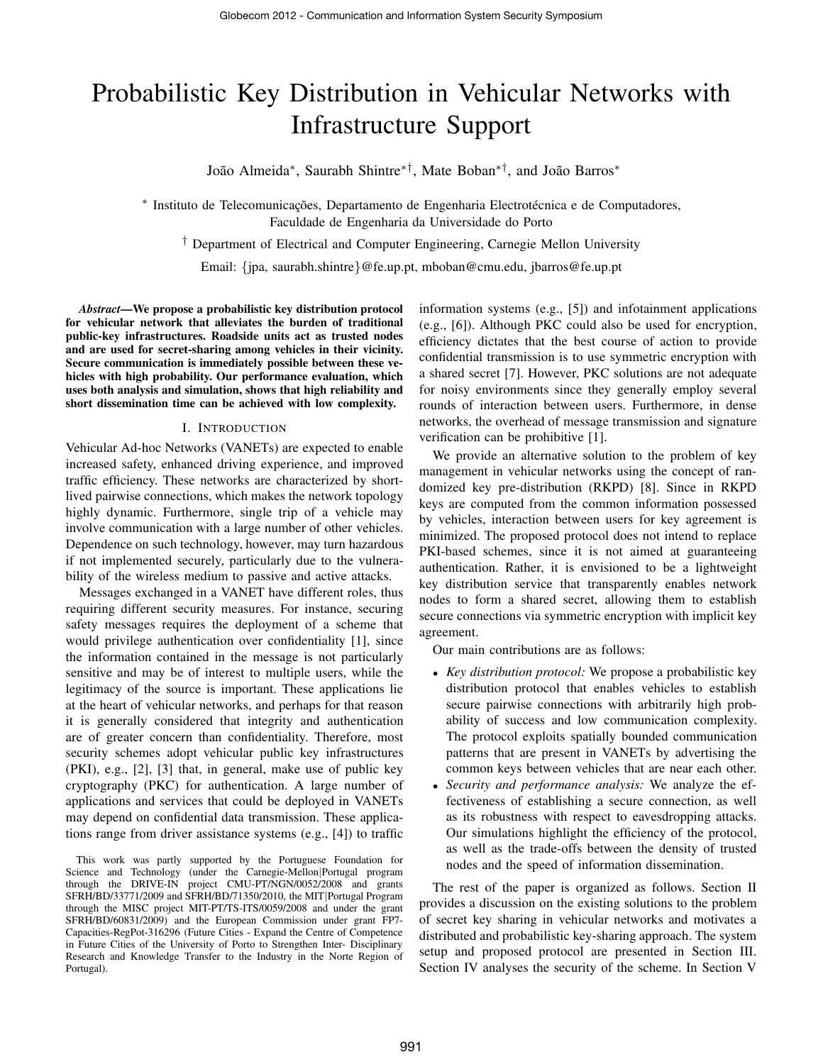# Probabilistic Key Distribution in Vehicular Networks with Infrastructure Support

João Almeida<sup>∗</sup>, Saurabh Shintre<sup>∗†</sup>, Mate Boban<sup>∗†</sup>, and João Barros<sup>∗</sup>

\* Instituto de Telecomunicações, Departamento de Engenharia Electrotécnica e de Computadores, Faculdade de Engenharia da Universidade do Porto

† Department of Electrical and Computer Engineering, Carnegie Mellon University

Email: {jpa, saurabh.shintre}@fe.up.pt, mboban@cmu.edu, jbarros@fe.up.pt

*Abstract***—We propose a probabilistic key distribution protocol for vehicular network that alleviates the burden of traditional public-key infrastructures. Roadside units act as trusted nodes and are used for secret-sharing among vehicles in their vicinity. Secure communication is immediately possible between these vehicles with high probability. Our performance evaluation, which uses both analysis and simulation, shows that high reliability and short dissemination time can be achieved with low complexity.**

## I. INTRODUCTION

Vehicular Ad-hoc Networks (VANETs) are expected to enable increased safety, enhanced driving experience, and improved traffic efficiency. These networks are characterized by shortlived pairwise connections, which makes the network topology highly dynamic. Furthermore, single trip of a vehicle may involve communication with a large number of other vehicles. Dependence on such technology, however, may turn hazardous if not implemented securely, particularly due to the vulnerability of the wireless medium to passive and active attacks.

Messages exchanged in a VANET have different roles, thus requiring different security measures. For instance, securing safety messages requires the deployment of a scheme that would privilege authentication over confidentiality [1], since the information contained in the message is not particularly sensitive and may be of interest to multiple users, while the legitimacy of the source is important. These applications lie at the heart of vehicular networks, and perhaps for that reason it is generally considered that integrity and authentication are of greater concern than confidentiality. Therefore, most security schemes adopt vehicular public key infrastructures (PKI), e.g., [2], [3] that, in general, make use of public key cryptography (PKC) for authentication. A large number of applications and services that could be deployed in VANETs may depend on confidential data transmission. These applications range from driver assistance systems (e.g., [4]) to traffic

information systems (e.g., [5]) and infotainment applications (e.g., [6]). Although PKC could also be used for encryption, efficiency dictates that the best course of action to provide confidential transmission is to use symmetric encryption with a shared secret [7]. However, PKC solutions are not adequate for noisy environments since they generally employ several rounds of interaction between users. Furthermore, in dense networks, the overhead of message transmission and signature verification can be prohibitive [1].

We provide an alternative solution to the problem of key management in vehicular networks using the concept of randomized key pre-distribution (RKPD) [8]. Since in RKPD keys are computed from the common information possessed by vehicles, interaction between users for key agreement is minimized. The proposed protocol does not intend to replace PKI-based schemes, since it is not aimed at guaranteeing authentication. Rather, it is envisioned to be a lightweight key distribution service that transparently enables network nodes to form a shared secret, allowing them to establish secure connections via symmetric encryption with implicit key agreement.

Our main contributions are as follows:

- *Key distribution protocol:* We propose a probabilistic key distribution protocol that enables vehicles to establish secure pairwise connections with arbitrarily high probability of success and low communication complexity. The protocol exploits spatially bounded communication patterns that are present in VANETs by advertising the common keys between vehicles that are near each other.
- *Security and performance analysis:* We analyze the effectiveness of establishing a secure connection, as well as its robustness with respect to eavesdropping attacks. Our simulations highlight the efficiency of the protocol, as well as the trade-offs between the density of trusted nodes and the speed of information dissemination.

The rest of the paper is organized as follows. Section II provides a discussion on the existing solutions to the problem of secret key sharing in vehicular networks and motivates a distributed and probabilistic key-sharing approach. The system setup and proposed protocol are presented in Section III. Section IV analyses the security of the scheme. In Section V

This work was partly supported by the Portuguese Foundation for Science and Technology (under the Carnegie-Mellon|Portugal program through the DRIVE-IN project CMU-PT/NGN/0052/2008 and grants SFRH/BD/33771/2009 and SFRH/BD/71350/2010, the MIT|Portugal Program through the MISC project MIT-PT/TS-ITS/0059/2008 and under the grant SFRH/BD/60831/2009) and the European Commission under grant FP7- Capacities-RegPot-316296 (Future Cities - Expand the Centre of Competence in Future Cities of the University of Porto to Strengthen Inter- Disciplinary Research and Knowledge Transfer to the Industry in the Norte Region of Portugal).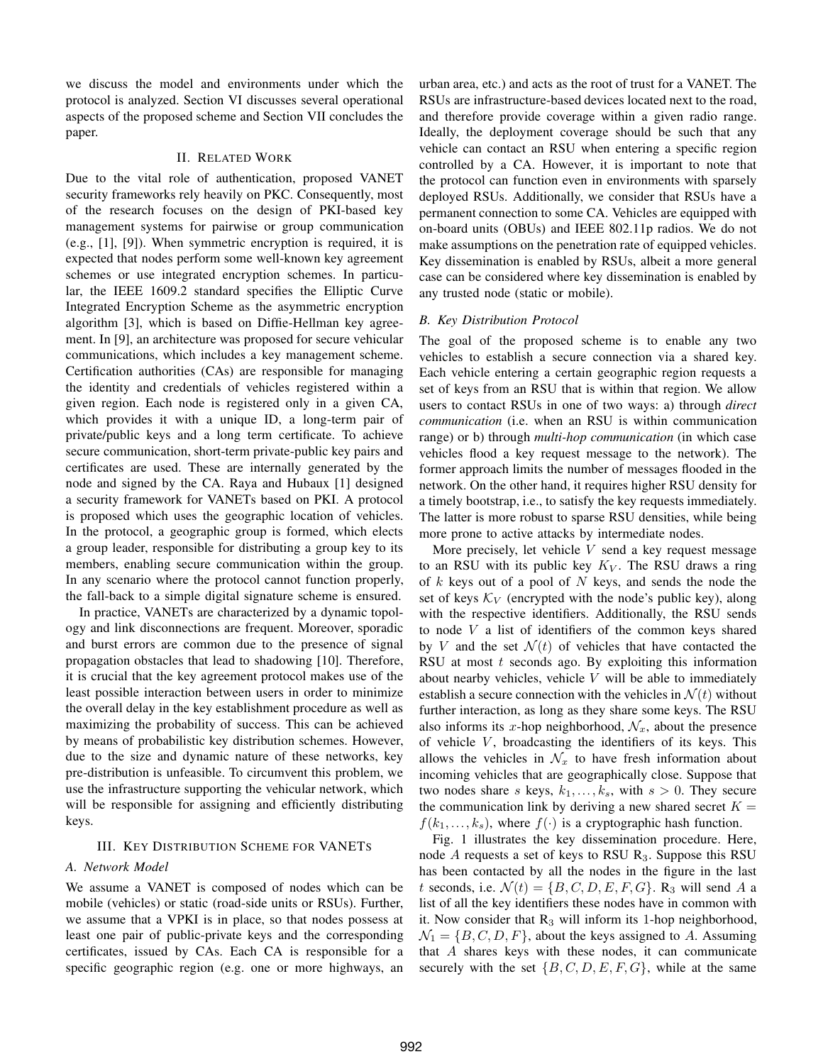we discuss the model and environments under which the protocol is analyzed. Section VI discusses several operational aspects of the proposed scheme and Section VII concludes the paper.

## II. RELATED WORK

Due to the vital role of authentication, proposed VANET security frameworks rely heavily on PKC. Consequently, most of the research focuses on the design of PKI-based key management systems for pairwise or group communication (e.g., [1], [9]). When symmetric encryption is required, it is expected that nodes perform some well-known key agreement schemes or use integrated encryption schemes. In particular, the IEEE 1609.2 standard specifies the Elliptic Curve Integrated Encryption Scheme as the asymmetric encryption algorithm [3], which is based on Diffie-Hellman key agreement. In [9], an architecture was proposed for secure vehicular communications, which includes a key management scheme. Certification authorities (CAs) are responsible for managing the identity and credentials of vehicles registered within a given region. Each node is registered only in a given CA, which provides it with a unique ID, a long-term pair of private/public keys and a long term certificate. To achieve secure communication, short-term private-public key pairs and certificates are used. These are internally generated by the node and signed by the CA. Raya and Hubaux [1] designed a security framework for VANETs based on PKI. A protocol is proposed which uses the geographic location of vehicles. In the protocol, a geographic group is formed, which elects a group leader, responsible for distributing a group key to its members, enabling secure communication within the group. In any scenario where the protocol cannot function properly, the fall-back to a simple digital signature scheme is ensured.

In practice, VANETs are characterized by a dynamic topology and link disconnections are frequent. Moreover, sporadic and burst errors are common due to the presence of signal propagation obstacles that lead to shadowing [10]. Therefore, it is crucial that the key agreement protocol makes use of the least possible interaction between users in order to minimize the overall delay in the key establishment procedure as well as maximizing the probability of success. This can be achieved by means of probabilistic key distribution schemes. However, due to the size and dynamic nature of these networks, key pre-distribution is unfeasible. To circumvent this problem, we use the infrastructure supporting the vehicular network, which will be responsible for assigning and efficiently distributing keys.

## III. KEY DISTRIBUTION SCHEME FOR VANETS

#### *A. Network Model*

We assume a VANET is composed of nodes which can be mobile (vehicles) or static (road-side units or RSUs). Further, we assume that a VPKI is in place, so that nodes possess at least one pair of public-private keys and the corresponding certificates, issued by CAs. Each CA is responsible for a specific geographic region (e.g. one or more highways, an urban area, etc.) and acts as the root of trust for a VANET. The RSUs are infrastructure-based devices located next to the road, and therefore provide coverage within a given radio range. Ideally, the deployment coverage should be such that any vehicle can contact an RSU when entering a specific region controlled by a CA. However, it is important to note that the protocol can function even in environments with sparsely deployed RSUs. Additionally, we consider that RSUs have a permanent connection to some CA. Vehicles are equipped with on-board units (OBUs) and IEEE 802.11p radios. We do not make assumptions on the penetration rate of equipped vehicles. Key dissemination is enabled by RSUs, albeit a more general case can be considered where key dissemination is enabled by any trusted node (static or mobile).

## *B. Key Distribution Protocol*

The goal of the proposed scheme is to enable any two vehicles to establish a secure connection via a shared key. Each vehicle entering a certain geographic region requests a set of keys from an RSU that is within that region. We allow users to contact RSUs in one of two ways: a) through *direct communication* (i.e. when an RSU is within communication range) or b) through *multi-hop communication* (in which case vehicles flood a key request message to the network). The former approach limits the number of messages flooded in the network. On the other hand, it requires higher RSU density for a timely bootstrap, i.e., to satisfy the key requests immediately. The latter is more robust to sparse RSU densities, while being more prone to active attacks by intermediate nodes.

More precisely, let vehicle  $V$  send a key request message to an RSU with its public key  $K_V$ . The RSU draws a ring of  $k$  keys out of a pool of  $N$  keys, and sends the node the set of keys  $K_V$  (encrypted with the node's public key), along with the respective identifiers. Additionally, the RSU sends to node  $V$  a list of identifiers of the common keys shared by V and the set  $\mathcal{N}(t)$  of vehicles that have contacted the RSU at most  $t$  seconds ago. By exploiting this information about nearby vehicles, vehicle  $V$  will be able to immediately establish a secure connection with the vehicles in  $\mathcal{N}(t)$  without further interaction, as long as they share some keys. The RSU also informs its x-hop neighborhood,  $\mathcal{N}_x$ , about the presence of vehicle  $V$ , broadcasting the identifiers of its keys. This allows the vehicles in  $\mathcal{N}_x$  to have fresh information about incoming vehicles that are geographically close. Suppose that two nodes share s keys,  $k_1, \ldots, k_s$ , with  $s > 0$ . They secure the communication link by deriving a new shared secret  $K =$  $f(k_1, \ldots, k_s)$ , where  $f(\cdot)$  is a cryptographic hash function.

Fig. 1 illustrates the key dissemination procedure. Here, node  $A$  requests a set of keys to RSU  $R_3$ . Suppose this RSU has been contacted by all the nodes in the figure in the last t seconds, i.e.  $\mathcal{N}(t) = \{B, C, D, E, F, G\}$ . R<sub>3</sub> will send A a list of all the key identifiers these nodes have in common with it. Now consider that  $R_3$  will inform its 1-hop neighborhood,  $\mathcal{N}_1 = \{B, C, D, F\}$ , about the keys assigned to A. Assuming that A shares keys with these nodes, it can communicate securely with the set  $\{B, C, D, E, F, G\}$ , while at the same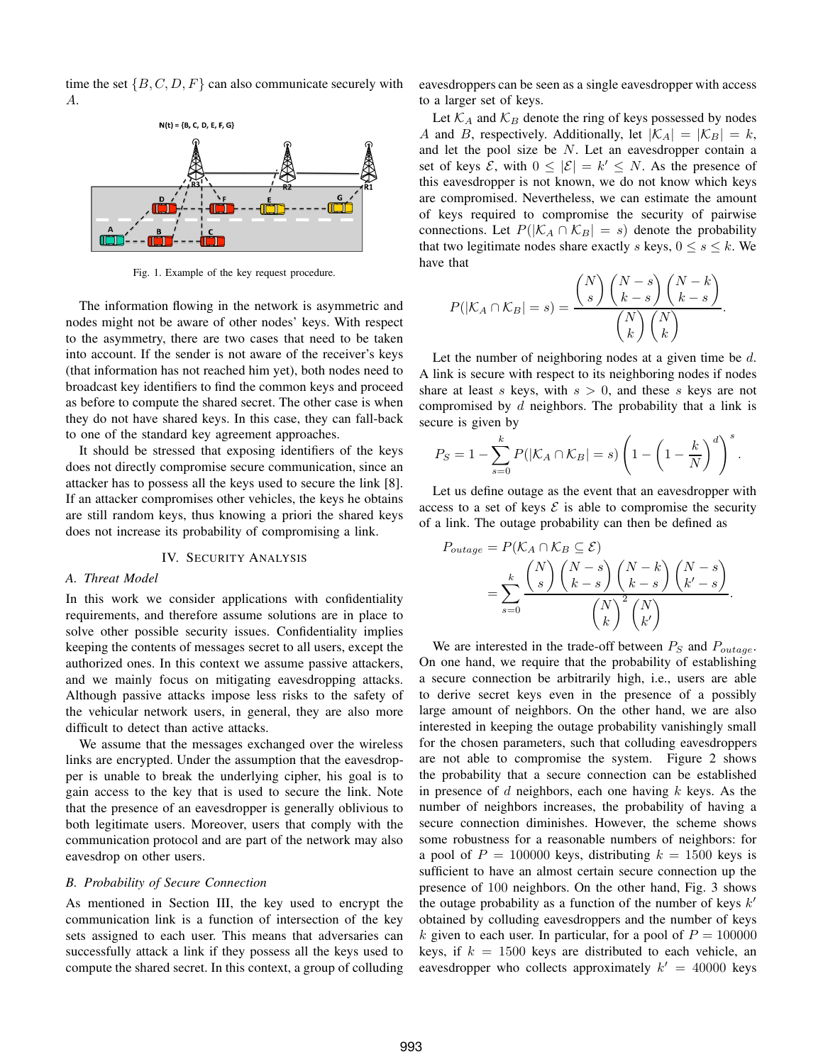time the set  $\{B, C, D, F\}$  can also communicate securely with A.



Fig. 1. Example of the key request procedure.

The information flowing in the network is asymmetric and nodes might not be aware of other nodes' keys. With respect to the asymmetry, there are two cases that need to be taken into account. If the sender is not aware of the receiver's keys (that information has not reached him yet), both nodes need to broadcast key identifiers to find the common keys and proceed as before to compute the shared secret. The other case is when they do not have shared keys. In this case, they can fall-back to one of the standard key agreement approaches.

It should be stressed that exposing identifiers of the keys does not directly compromise secure communication, since an attacker has to possess all the keys used to secure the link [8]. If an attacker compromises other vehicles, the keys he obtains are still random keys, thus knowing a priori the shared keys does not increase its probability of compromising a link.

## IV. SECURITY ANALYSIS

## *A. Threat Model*

In this work we consider applications with confidentiality requirements, and therefore assume solutions are in place to solve other possible security issues. Confidentiality implies keeping the contents of messages secret to all users, except the authorized ones. In this context we assume passive attackers, and we mainly focus on mitigating eavesdropping attacks. Although passive attacks impose less risks to the safety of the vehicular network users, in general, they are also more difficult to detect than active attacks.

We assume that the messages exchanged over the wireless links are encrypted. Under the assumption that the eavesdropper is unable to break the underlying cipher, his goal is to gain access to the key that is used to secure the link. Note that the presence of an eavesdropper is generally oblivious to both legitimate users. Moreover, users that comply with the communication protocol and are part of the network may also eavesdrop on other users.

#### *B. Probability of Secure Connection*

As mentioned in Section III, the key used to encrypt the communication link is a function of intersection of the key sets assigned to each user. This means that adversaries can successfully attack a link if they possess all the keys used to compute the shared secret. In this context, a group of colluding eavesdroppers can be seen as a single eavesdropper with access to a larger set of keys.

Let  $\mathcal{K}_A$  and  $\mathcal{K}_B$  denote the ring of keys possessed by nodes A and B, respectively. Additionally, let  $|\mathcal{K}_A| = |\mathcal{K}_B| = k$ , and let the pool size be  $N$ . Let an eavesdropper contain a set of keys  $\mathcal{E}$ , with  $0 \leq |\mathcal{E}| = k' \leq N$ . As the presence of this eavesdropper is not known, we do not know which keys are compromised. Nevertheless, we can estimate the amount of keys required to compromise the security of pairwise connections. Let  $P(|\mathcal{K}_A \cap \mathcal{K}_B| = s)$  denote the probability that two legitimate nodes share exactly s keys,  $0 \le s \le k$ . We have that

$$
P(|\mathcal{K}_A \cap \mathcal{K}_B| = s) = \frac{\binom{N}{s} \binom{N-s}{k-s} \binom{N-k}{k-s}}{\binom{N}{k} \binom{N}{k}}.
$$

Let the number of neighboring nodes at a given time be  $d$ . A link is secure with respect to its neighboring nodes if nodes share at least s keys, with  $s > 0$ , and these s keys are not compromised by  $d$  neighbors. The probability that a link is secure is given by

$$
P_S = 1 - \sum_{s=0}^k P(|\mathcal{K}_A \cap \mathcal{K}_B| = s) \left(1 - \left(1 - \frac{k}{N}\right)^d\right)^s.
$$

Let us define outage as the event that an eavesdropper with access to a set of keys  $\mathcal E$  is able to compromise the security of a link. The outage probability can then be defined as

$$
P_{outage} = P(K_A \cap K_B \subseteq \mathcal{E})
$$
  
= 
$$
\sum_{s=0}^{k} \frac{\binom{N}{s} \binom{N-s}{k-s} \binom{N-k}{k-s} \binom{N-s}{k'-s}}{\binom{N}{k}^2 \binom{N}{k'}}.
$$

We are interested in the trade-off between  $P_S$  and  $P_{outage}$ . On one hand, we require that the probability of establishing a secure connection be arbitrarily high, i.e., users are able to derive secret keys even in the presence of a possibly large amount of neighbors. On the other hand, we are also interested in keeping the outage probability vanishingly small for the chosen parameters, such that colluding eavesdroppers are not able to compromise the system. Figure 2 shows the probability that a secure connection can be established in presence of  $d$  neighbors, each one having  $k$  keys. As the number of neighbors increases, the probability of having a secure connection diminishes. However, the scheme shows some robustness for a reasonable numbers of neighbors: for a pool of  $P = 100000$  keys, distributing  $k = 1500$  keys is sufficient to have an almost certain secure connection up the presence of 100 neighbors. On the other hand, Fig. 3 shows the outage probability as a function of the number of keys  $k'$ obtained by colluding eavesdroppers and the number of keys k given to each user. In particular, for a pool of  $P = 100000$ keys, if  $k = 1500$  keys are distributed to each vehicle, an eavesdropper who collects approximately  $k' = 40000$  keys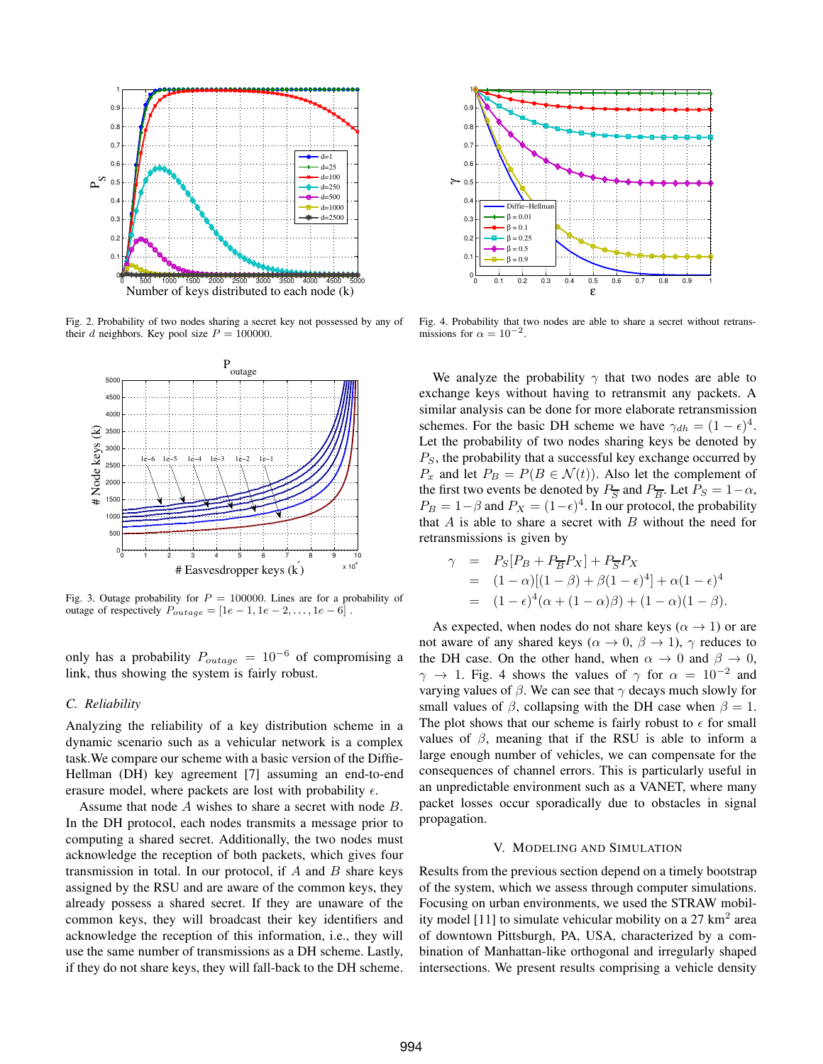

Fig. 2. Probability of two nodes sharing a secret key not possessed by any of their d neighbors. Key pool size  $P = 100000$ .



Fig. 3. Outage probability for  $P = 100000$ . Lines are for a probability of outage of respectively  $P_{outage} = [1e - 1, 1e - 2, \dots, 1e - 6]$ .

only has a probability  $P_{outage} = 10^{-6}$  of compromising a link, thus showing the system is fairly robust.

## *C. Reliability*

Analyzing the reliability of a key distribution scheme in a dynamic scenario such as a vehicular network is a complex task.We compare our scheme with a basic version of the Diffie-Hellman (DH) key agreement [7] assuming an end-to-end erasure model, where packets are lost with probability  $\epsilon$ .

Assume that node A wishes to share a secret with node B. In the DH protocol, each nodes transmits a message prior to computing a shared secret. Additionally, the two nodes must acknowledge the reception of both packets, which gives four transmission in total. In our protocol, if  $A$  and  $B$  share keys assigned by the RSU and are aware of the common keys, they already possess a shared secret. If they are unaware of the common keys, they will broadcast their key identifiers and acknowledge the reception of this information, i.e., they will use the same number of transmissions as a DH scheme. Lastly, if they do not share keys, they will fall-back to the DH scheme.



Fig. 4. Probability that two nodes are able to share a secret without retransmissions for  $\alpha = 10^{-2}$ .

We analyze the probability  $\gamma$  that two nodes are able to exchange keys without having to retransmit any packets. A similar analysis can be done for more elaborate retransmission schemes. For the basic DH scheme we have  $\gamma_{dh} = (1 - \epsilon)^4$ . Let the probability of two nodes sharing keys be denoted by  $P<sub>S</sub>$ , the probability that a successful key exchange occurred by  $P_x$  and let  $P_B = P(B \in \mathcal{N}(t))$ . Also let the complement of the first two events be denoted by  $P_{\overline{S}}$  and  $P_{\overline{B}}$ . Let  $P_S = 1 - \alpha$ ,  $P_B = 1 - \beta$  and  $P_X = (1 - \epsilon)^4$ . In our protocol, the probability that  $A$  is able to share a secret with  $B$  without the need for retransmissions is given by

$$
\gamma = P_S[P_B + P_{\overline{B}}P_X] + P_{\overline{S}}P_X \n= (1 - \alpha)[(1 - \beta) + \beta(1 - \epsilon)^4] + \alpha(1 - \epsilon)^4 \n= (1 - \epsilon)^4(\alpha + (1 - \alpha)\beta) + (1 - \alpha)(1 - \beta).
$$

As expected, when nodes do not share keys ( $\alpha \rightarrow 1$ ) or are not aware of any shared keys ( $\alpha \rightarrow 0$ ,  $\beta \rightarrow 1$ ),  $\gamma$  reduces to the DH case. On the other hand, when  $\alpha \to 0$  and  $\beta \to 0$ ,  $\gamma \rightarrow 1$ . Fig. 4 shows the values of  $\gamma$  for  $\alpha = 10^{-2}$  and varying values of  $\beta$ . We can see that  $\gamma$  decays much slowly for small values of  $\beta$ , collapsing with the DH case when  $\beta = 1$ . The plot shows that our scheme is fairly robust to  $\epsilon$  for small values of  $\beta$ , meaning that if the RSU is able to inform a large enough number of vehicles, we can compensate for the consequences of channel errors. This is particularly useful in an unpredictable environment such as a VANET, where many packet losses occur sporadically due to obstacles in signal propagation.

#### V. MODELING AND SIMULATION

Results from the previous section depend on a timely bootstrap of the system, which we assess through computer simulations. Focusing on urban environments, we used the STRAW mobility model [11] to simulate vehicular mobility on a 27  $km<sup>2</sup>$  area of downtown Pittsburgh, PA, USA, characterized by a combination of Manhattan-like orthogonal and irregularly shaped intersections. We present results comprising a vehicle density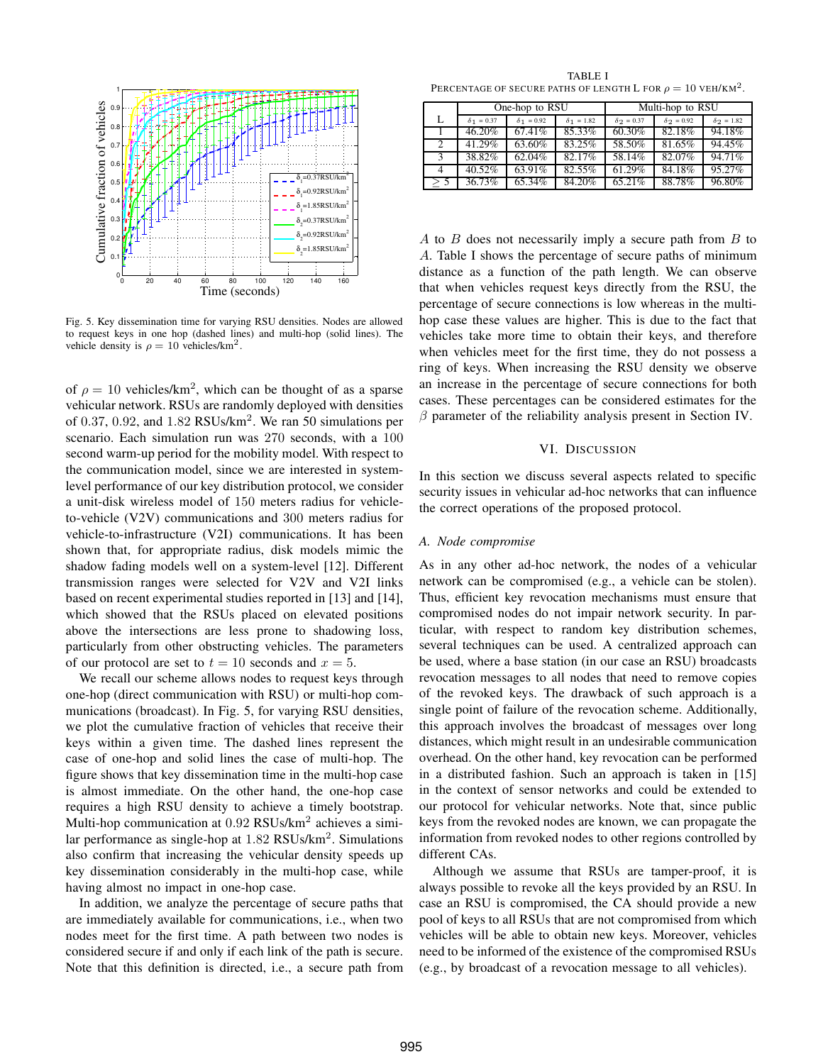

Fig. 5. Key dissemination time for varying RSU densities. Nodes are allowed to request keys in one hop (dashed lines) and multi-hop (solid lines). The vehicle density is  $\rho = 10$  vehicles/km<sup>2</sup>.

of  $\rho = 10$  vehicles/km<sup>2</sup>, which can be thought of as a sparse vehicular network. RSUs are randomly deployed with densities of 0.37, 0.92, and  $1.82$  RSUs/km<sup>2</sup>. We ran 50 simulations per scenario. Each simulation run was 270 seconds, with a 100 second warm-up period for the mobility model. With respect to the communication model, since we are interested in systemlevel performance of our key distribution protocol, we consider a unit-disk wireless model of 150 meters radius for vehicleto-vehicle (V2V) communications and 300 meters radius for vehicle-to-infrastructure (V2I) communications. It has been shown that, for appropriate radius, disk models mimic the shadow fading models well on a system-level [12]. Different transmission ranges were selected for V2V and V2I links based on recent experimental studies reported in [13] and [14], which showed that the RSUs placed on elevated positions above the intersections are less prone to shadowing loss, particularly from other obstructing vehicles. The parameters of our protocol are set to  $t = 10$  seconds and  $x = 5$ .

We recall our scheme allows nodes to request keys through one-hop (direct communication with RSU) or multi-hop communications (broadcast). In Fig. 5, for varying RSU densities, we plot the cumulative fraction of vehicles that receive their keys within a given time. The dashed lines represent the case of one-hop and solid lines the case of multi-hop. The figure shows that key dissemination time in the multi-hop case is almost immediate. On the other hand, the one-hop case requires a high RSU density to achieve a timely bootstrap. Multi-hop communication at 0.92 RSUs/km<sup>2</sup> achieves a similar performance as single-hop at 1.82 RSUs/km<sup>2</sup>. Simulations also confirm that increasing the vehicular density speeds up key dissemination considerably in the multi-hop case, while having almost no impact in one-hop case.

In addition, we analyze the percentage of secure paths that are immediately available for communications, i.e., when two nodes meet for the first time. A path between two nodes is considered secure if and only if each link of the path is secure. Note that this definition is directed, i.e., a secure path from

TABLE I PERCENTAGE OF SECURE PATHS OF LENGTH  $L$  for  $\rho = 10$  veh/km<sup>2</sup>.

|     | One-hop to RSU    |                   |                   | Multi-hop to RSU             |                   |                              |
|-----|-------------------|-------------------|-------------------|------------------------------|-------------------|------------------------------|
| L   | $\delta_1 = 0.37$ | $\delta_1 = 0.92$ | $\delta_1 = 1.82$ | $\delta$ <sub>2</sub> = 0.37 | $\delta_2 = 0.92$ | $\delta$ <sub>2</sub> = 1.82 |
|     | 46.20%            | 67.41%            | 85.33%            | 60.30%                       | 82.18%            | 94.18%                       |
| 2   | 41.29%            | 63.60%            | 83.25%            | 58.50%                       | 81.65%            | 94.45%                       |
| 3   | 38.82%            | 62.04%            | 82.17%            | 58.14%                       | 82.07%            | 94.71%                       |
| 4   | 40.52%            | 63.91%            | 82.55%            | 61.29%                       | 84.18%            | 95.27%                       |
| > 5 | 36.73%            | 65.34%            | 84.20%            | 65.21%                       | 88.78%            | 96.80%                       |

A to  $B$  does not necessarily imply a secure path from  $B$  to A. Table I shows the percentage of secure paths of minimum distance as a function of the path length. We can observe that when vehicles request keys directly from the RSU, the percentage of secure connections is low whereas in the multihop case these values are higher. This is due to the fact that vehicles take more time to obtain their keys, and therefore when vehicles meet for the first time, they do not possess a ring of keys. When increasing the RSU density we observe an increase in the percentage of secure connections for both cases. These percentages can be considered estimates for the  $\beta$  parameter of the reliability analysis present in Section IV.

## VI. DISCUSSION

In this section we discuss several aspects related to specific security issues in vehicular ad-hoc networks that can influence the correct operations of the proposed protocol.

#### *A. Node compromise*

As in any other ad-hoc network, the nodes of a vehicular network can be compromised (e.g., a vehicle can be stolen). Thus, efficient key revocation mechanisms must ensure that compromised nodes do not impair network security. In particular, with respect to random key distribution schemes, several techniques can be used. A centralized approach can be used, where a base station (in our case an RSU) broadcasts revocation messages to all nodes that need to remove copies of the revoked keys. The drawback of such approach is a single point of failure of the revocation scheme. Additionally, this approach involves the broadcast of messages over long distances, which might result in an undesirable communication overhead. On the other hand, key revocation can be performed in a distributed fashion. Such an approach is taken in [15] in the context of sensor networks and could be extended to our protocol for vehicular networks. Note that, since public keys from the revoked nodes are known, we can propagate the information from revoked nodes to other regions controlled by different CAs.

Although we assume that RSUs are tamper-proof, it is always possible to revoke all the keys provided by an RSU. In case an RSU is compromised, the CA should provide a new pool of keys to all RSUs that are not compromised from which vehicles will be able to obtain new keys. Moreover, vehicles need to be informed of the existence of the compromised RSUs (e.g., by broadcast of a revocation message to all vehicles).